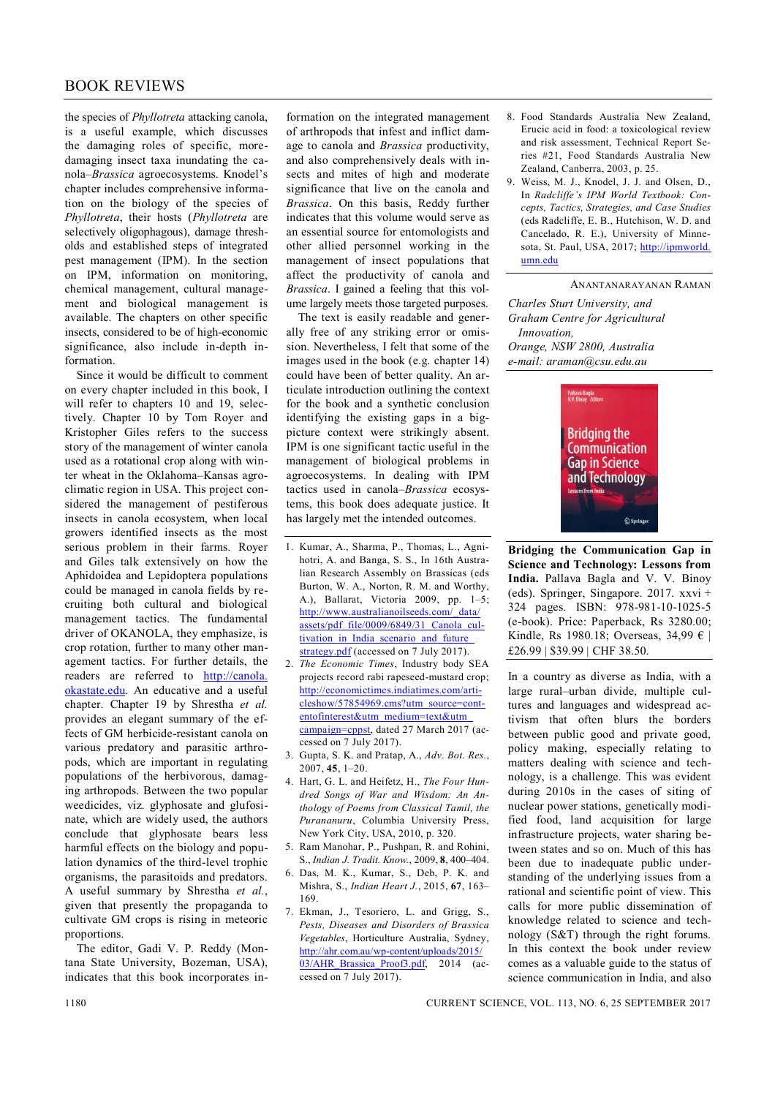## BOOK REVIEWS

the species of *Phyllotreta* attacking canola, is a useful example, which discusses the damaging roles of specific, moredamaging insect taxa inundating the canola–*Brassica* agroecosystems. Knodel's chapter includes comprehensive information on the biology of the species of *Phyllotreta*, their hosts (*Phyllotreta* are selectively oligophagous), damage thresholds and established steps of integrated pest management (IPM). In the section on IPM, information on monitoring, chemical management, cultural management and biological management is available. The chapters on other specific insects, considered to be of high-economic significance, also include in-depth information.

Since it would be difficult to comment on every chapter included in this book, I will refer to chapters 10 and 19, selectively. Chapter 10 by Tom Royer and Kristopher Giles refers to the success story of the management of winter canola used as a rotational crop along with winter wheat in the Oklahoma–Kansas agroclimatic region in USA. This project considered the management of pestiferous insects in canola ecosystem, when local growers identified insects as the most serious problem in their farms. Royer and Giles talk extensively on how the Aphidoidea and Lepidoptera populations could be managed in canola fields by recruiting both cultural and biological management tactics. The fundamental driver of OKANOLA, they emphasize, is crop rotation, further to many other management tactics. For further details, the readers are referred to http://canola. okastate.edu. An educative and a useful chapter. Chapter 19 by Shrestha *et al.* provides an elegant summary of the effects of GM herbicide-resistant canola on various predatory and parasitic arthropods, which are important in regulating populations of the herbivorous, damaging arthropods. Between the two popular weedicides, viz. glyphosate and glufosinate, which are widely used, the authors conclude that glyphosate bears less harmful effects on the biology and population dynamics of the third-level trophic organisms, the parasitoids and predators. A useful summary by Shrestha *et al.*, given that presently the propaganda to cultivate GM crops is rising in meteoric proportions.

The editor, Gadi V. P. Reddy (Montana State University, Bozeman, USA), indicates that this book incorporates in-

formation on the integrated management of arthropods that infest and inflict damage to canola and *Brassica* productivity, and also comprehensively deals with insects and mites of high and moderate significance that live on the canola and *Brassica*. On this basis, Reddy further indicates that this volume would serve as an essential source for entomologists and other allied personnel working in the management of insect populations that affect the productivity of canola and *Brassica*. I gained a feeling that this volume largely meets those targeted purposes.

The text is easily readable and generally free of any striking error or omission. Nevertheless, I felt that some of the images used in the book (e.g. chapter 14) could have been of better quality. An articulate introduction outlining the context for the book and a synthetic conclusion identifying the existing gaps in a bigpicture context were strikingly absent. IPM is one significant tactic useful in the management of biological problems in agroecosystems. In dealing with IPM tactics used in canola–*Brassica* ecosystems, this book does adequate justice. It has largely met the intended outcomes.

- 1. Kumar, A., Sharma, P., Thomas, L., Agnihotri, A. and Banga, S. S., In 16th Australian Research Assembly on Brassicas (eds Burton, W. A., Norton, R. M. and Worthy, A.), Ballarat, Victoria 2009, pp. 1–5; http://www.australianoilseeds.com/\_data/ assets/pdf\_file/0009/6849/31\_Canola\_cultivation in India scenario and future strategy.pdf (accessed on 7 July 2017).
- 2. *The Economic Times*, Industry body SEA projects record rabi rapeseed-mustard crop; http://economictimes.indiatimes.com/articleshow/57854969.cms?utm\_source=contentofinterest&utm\_medium=text&utm\_ campaign=cppst, dated 27 March 2017 (accessed on 7 July 2017).
- 3. Gupta, S. K. and Pratap, A., *Adv. Bot. Res.*, 2007, **45**, 1–20.
- 4. Hart, G. L. and Heifetz, H., *The Four Hundred Songs of War and Wisdom: An Anthology of Poems from Classical Tamil, the Purananuru*, Columbia University Press, New York City, USA, 2010, p. 320.
- 5. Ram Manohar, P., Pushpan, R. and Rohini, S., *Indian J. Tradit. Know.*, 2009, **8**, 400–404.
- 6. Das, M. K., Kumar, S., Deb, P. K. and Mishra, S., *Indian Heart J.*, 2015, **67**, 163– 169.
- 7. Ekman, J., Tesoriero, L. and Grigg, S., *Pests, Diseases and Disorders of Brassica Vegetables*, Horticulture Australia, Sydney, http://ahr.com.au/wp-content/uploads/2015/ 03/AHR\_Brassica\_Proof3.pdf, 2014 (accessed on 7 July 2017).
- 8. Food Standards Australia New Zealand, Erucic acid in food: a toxicological review and risk assessment, Technical Report Series #21, Food Standards Australia New Zealand, Canberra, 2003, p. 25.
- 9. Weiss, M. J., Knodel, J. J. and Olsen, D., In *Radcliffe's IPM World Textbook: Concepts, Tactics, Strategies, and Case Studies* (eds Radcliffe, E. B., Hutchison, W. D. and Cancelado, R. E.), University of Minnesota, St. Paul, USA, 2017; http://ipmworld. umn.edu

## ANANTANARAYANAN RAMAN

*Charles Sturt University, and Graham Centre for Agricultural Innovation, Orange, NSW 2800, Australia e-mail: araman@csu.edu.au*



**Bridging the Communication Gap in Science and Technology: Lessons from India.** Pallava Bagla and V. V. Binoy (eds). Springer, Singapore. 2017. xxvi + 324 pages. ISBN: 978-981-10-1025-5 (e-book). Price: Paperback, Rs 3280.00; Kindle, Rs 1980.18; Overseas, 34,99 € | £26.99 | \$39.99 | CHF 38.50.

In a country as diverse as India, with a large rural–urban divide, multiple cultures and languages and widespread activism that often blurs the borders between public good and private good, policy making, especially relating to matters dealing with science and technology, is a challenge. This was evident during 2010s in the cases of siting of nuclear power stations, genetically modified food, land acquisition for large infrastructure projects, water sharing between states and so on. Much of this has been due to inadequate public understanding of the underlying issues from a rational and scientific point of view. This calls for more public dissemination of knowledge related to science and technology (S&T) through the right forums. In this context the book under review comes as a valuable guide to the status of science communication in India, and also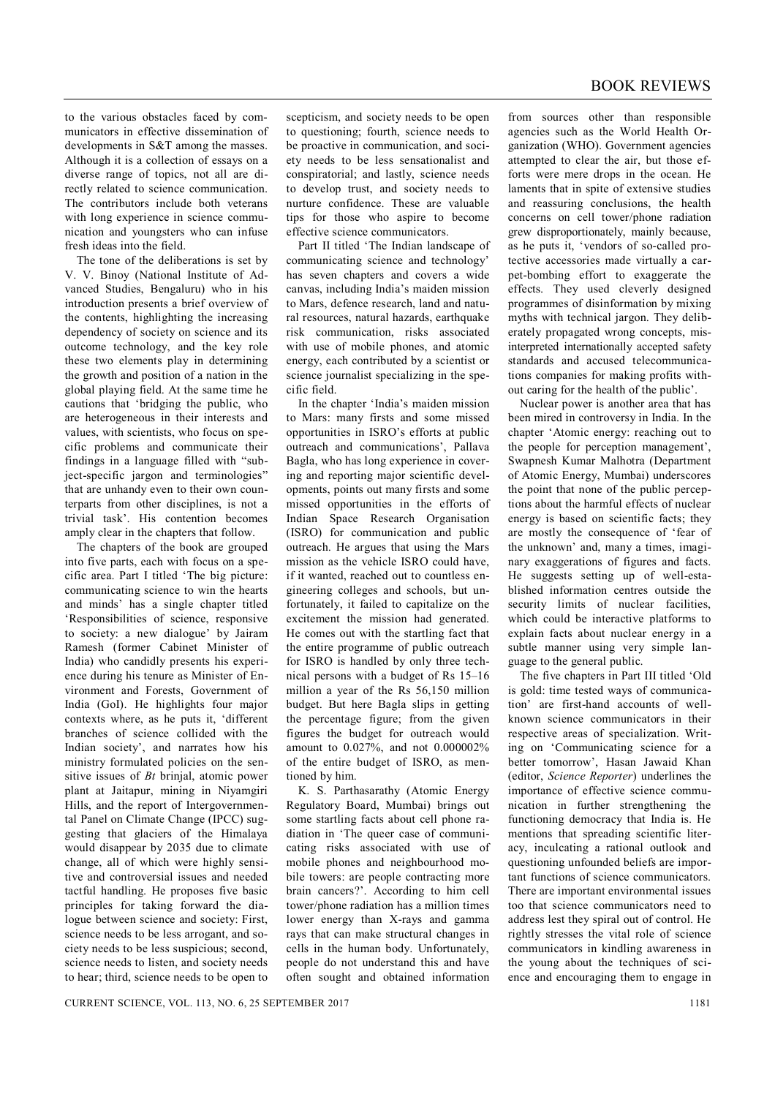to the various obstacles faced by communicators in effective dissemination of developments in S&T among the masses. Although it is a collection of essays on a diverse range of topics, not all are directly related to science communication. The contributors include both veterans with long experience in science communication and youngsters who can infuse fresh ideas into the field.

The tone of the deliberations is set by V. V. Binoy (National Institute of Advanced Studies, Bengaluru) who in his introduction presents a brief overview of the contents, highlighting the increasing dependency of society on science and its outcome technology, and the key role these two elements play in determining the growth and position of a nation in the global playing field. At the same time he cautions that 'bridging the public, who are heterogeneous in their interests and values, with scientists, who focus on specific problems and communicate their findings in a language filled with "subject-specific jargon and terminologies" that are unhandy even to their own counterparts from other disciplines, is not a trivial task'. His contention becomes amply clear in the chapters that follow.

The chapters of the book are grouped into five parts, each with focus on a specific area. Part I titled 'The big picture: communicating science to win the hearts and minds' has a single chapter titled 'Responsibilities of science, responsive to society: a new dialogue' by Jairam Ramesh (former Cabinet Minister of India) who candidly presents his experience during his tenure as Minister of Environment and Forests, Government of India (GoI). He highlights four major contexts where, as he puts it, 'different branches of science collided with the Indian society', and narrates how his ministry formulated policies on the sensitive issues of *Bt* brinjal, atomic power plant at Jaitapur, mining in Niyamgiri Hills, and the report of Intergovernmental Panel on Climate Change (IPCC) suggesting that glaciers of the Himalaya would disappear by 2035 due to climate change, all of which were highly sensitive and controversial issues and needed tactful handling. He proposes five basic principles for taking forward the dialogue between science and society: First, science needs to be less arrogant, and society needs to be less suspicious; second, science needs to listen, and society needs to hear; third, science needs to be open to

scepticism, and society needs to be open to questioning; fourth, science needs to be proactive in communication, and society needs to be less sensationalist and conspiratorial; and lastly, science needs to develop trust, and society needs to nurture confidence. These are valuable tips for those who aspire to become effective science communicators.

Part II titled 'The Indian landscape of communicating science and technology' has seven chapters and covers a wide canvas, including India's maiden mission to Mars, defence research, land and natural resources, natural hazards, earthquake risk communication, risks associated with use of mobile phones, and atomic energy, each contributed by a scientist or science journalist specializing in the specific field.

In the chapter 'India's maiden mission to Mars: many firsts and some missed opportunities in ISRO's efforts at public outreach and communications', Pallava Bagla, who has long experience in covering and reporting major scientific developments, points out many firsts and some missed opportunities in the efforts of Indian Space Research Organisation (ISRO) for communication and public outreach. He argues that using the Mars mission as the vehicle ISRO could have, if it wanted, reached out to countless engineering colleges and schools, but unfortunately, it failed to capitalize on the excitement the mission had generated. He comes out with the startling fact that the entire programme of public outreach for ISRO is handled by only three technical persons with a budget of Rs 15–16 million a year of the Rs 56,150 million budget. But here Bagla slips in getting the percentage figure; from the given figures the budget for outreach would amount to 0.027%, and not 0.000002% of the entire budget of ISRO, as mentioned by him.

K. S. Parthasarathy (Atomic Energy Regulatory Board, Mumbai) brings out some startling facts about cell phone radiation in 'The queer case of communicating risks associated with use of mobile phones and neighbourhood mobile towers: are people contracting more brain cancers?'. According to him cell tower/phone radiation has a million times lower energy than X-rays and gamma rays that can make structural changes in cells in the human body. Unfortunately, people do not understand this and have often sought and obtained information

from sources other than responsible agencies such as the World Health Organization (WHO). Government agencies attempted to clear the air, but those efforts were mere drops in the ocean. He laments that in spite of extensive studies and reassuring conclusions, the health concerns on cell tower/phone radiation grew disproportionately, mainly because, as he puts it, 'vendors of so-called protective accessories made virtually a carpet-bombing effort to exaggerate the effects. They used cleverly designed programmes of disinformation by mixing myths with technical jargon. They deliberately propagated wrong concepts, misinterpreted internationally accepted safety standards and accused telecommunications companies for making profits without caring for the health of the public'.

Nuclear power is another area that has been mired in controversy in India. In the chapter 'Atomic energy: reaching out to the people for perception management', Swapnesh Kumar Malhotra (Department of Atomic Energy, Mumbai) underscores the point that none of the public perceptions about the harmful effects of nuclear energy is based on scientific facts; they are mostly the consequence of 'fear of the unknown' and, many a times, imaginary exaggerations of figures and facts. He suggests setting up of well-established information centres outside the security limits of nuclear facilities. which could be interactive platforms to explain facts about nuclear energy in a subtle manner using very simple language to the general public.

The five chapters in Part III titled 'Old is gold: time tested ways of communication' are first-hand accounts of wellknown science communicators in their respective areas of specialization. Writing on 'Communicating science for a better tomorrow', Hasan Jawaid Khan (editor, *Science Reporter*) underlines the importance of effective science communication in further strengthening the functioning democracy that India is. He mentions that spreading scientific literacy, inculcating a rational outlook and questioning unfounded beliefs are important functions of science communicators. There are important environmental issues too that science communicators need to address lest they spiral out of control. He rightly stresses the vital role of science communicators in kindling awareness in the young about the techniques of science and encouraging them to engage in